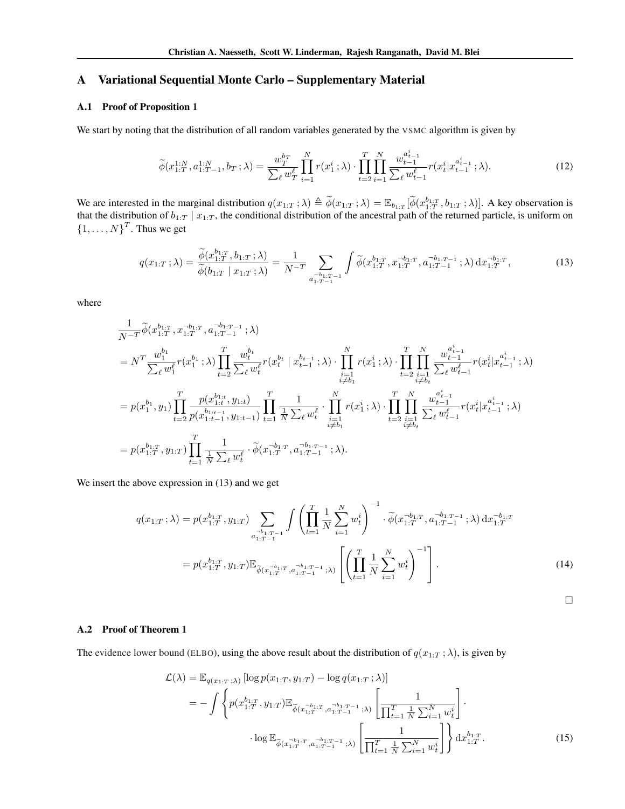# A Variational Sequential Monte Carlo – Supplementary Material

# A.1 Proof of Proposition [1](#page--1-0)

We start by noting that the distribution of all random variables generated by the [VSMC](#page--1-1) algorithm is given by

$$
\widetilde{\phi}(x_{1:T}^{1:N}, a_{1:T-1}^{1:N}, b_T; \lambda) = \frac{w_T^{b_T}}{\sum_{\ell} w_T^{\ell}} \prod_{i=1}^N r(x_1^i; \lambda) \cdot \prod_{t=2}^T \prod_{i=1}^N \frac{w_{t-1}^{a_{t-1}^i}}{\sum_{\ell} w_{t-1}^{\ell}} r(x_t^i | x_{t-1}^{a_{t-1}^i}; \lambda).
$$
\n(12)

We are interested in the marginal distribution  $q(x_{1:T}; \lambda) \triangleq \tilde{\phi}(x_{1:T}; \lambda) = \mathbb{E}_{b_{1:T}}[\tilde{\phi}(x_{1:T}^{b_{1:T}}, b_{1:T}; \lambda)]$ . A key observation is that the distribution of  $b_{1:T} | x_{1:T}$ , the conditional distribution of the ancestral path of the returned particle, is uniform on  $\{1, \ldots, N\}^T$ . Thus we get

$$
q(x_{1:T};\lambda) = \frac{\widetilde{\phi}(x_{1:T}^{b_{1:T}}, b_{1:T}; \lambda)}{\widetilde{\phi}(b_{1:T} \mid x_{1:T}; \lambda)} = \frac{1}{N^{-T}} \sum_{\substack{a=b_{1:T-1} \\ a_{1:T-1} = 1}} \int \widetilde{\phi}(x_{1:T}^{b_{1:T}}, x_{1:T}^{-b_{1:T}}, a_{1:T-1}^{-b_{1:T-1}}; \lambda) dx_{1:T}^{-b_{1:T}},
$$
\n(13)

where

$$
\begin{split} &\frac{1}{N^{-T}}\tilde{\phi}(x_{1:T}^{b_{1:T}},x_{1:T}^{-b_{1:T}},a_{1:T-1}^{-b_{1:T-1}};\lambda)\\ &=N^{T}\frac{w_{1}^{b_{1}}}{\sum_{\ell}w_{1}^{\ell}}r(x_{1}^{b_{1}};\lambda)\prod_{t=2}^{T}\frac{w_{t}^{b_{t}}}{\sum_{\ell}w_{t}^{\ell}}r(x_{t}^{b_{t}}\mid x_{t-1}^{b_{t-1}};\lambda)\cdot\prod_{i=1}^{N}r(x_{1}^{i};\lambda)\cdot\prod_{t=2}^{T}\prod_{\substack{i=1\\i\neq b_{t}}}^{N}\frac{w_{t-1}^{a_{t-1}}}{\sum_{\ell}w_{t-1}^{\ell}}r(x_{t}^{i}|x_{t-1}^{a_{t-1}};\lambda)\\ &=p(x_{1}^{b_{1}},y_{1})\prod_{t=2}^{T}\frac{p(x_{1:t}^{b_{1:t}},y_{1:t})}{p(x_{1:t-1}^{b_{1:t-1}},y_{1:t-1})}\prod_{t=1}^{T}\frac{1}{N\sum_{\ell}w_{t}^{\ell}}\cdot\prod_{\substack{i=1\\i\neq b_{1}}}^{N}r(x_{1}^{i};\lambda)\cdot\prod_{t=2}^{T}\prod_{\substack{i=1\\i\neq b_{t}}}^{N}\frac{w_{t-1}^{a_{t-1}}}{\sum_{\ell}w_{t-1}^{\ell}}r(x_{t}^{i}|x_{t-1}^{a_{t-1}};\lambda)\\ &=p(x_{1:T}^{b_{1:T}},y_{1:T})\prod_{t=1}^{T}\frac{1}{\frac{1}{N\sum_{\ell}w_{t}^{\ell}}}\cdot\tilde{\phi}(x_{1:T}^{-b_{1:T}},a_{1:T-1}^{-b_{1:T-1}};\lambda). \end{split}
$$

We insert the above expression in [\(13\)](#page-0-0) and we get

$$
q(x_{1:T}; \lambda) = p(x_{1:T}^{b_{1:T}}, y_{1:T}) \sum_{a_{1:T-1}^{-b_{1:T-1}}} \int \left( \prod_{t=1}^{T} \frac{1}{N} \sum_{i=1}^{N} w_t^i \right)^{-1} \cdot \widetilde{\phi}(x_{1:T}^{-b_{1:T}}, a_{1:T-1}^{-b_{1:T-1}}; \lambda) dx_{1:T}^{-b_{1:T}}
$$

$$
= p(x_{1:T}^{b_{1:T}}, y_{1:T}) \mathbb{E}_{\widetilde{\phi}(x_{1:T}^{-b_{1:T}}, a_{1:T-1}^{-b_{1:T-1}}; \lambda)} \left[ \left( \prod_{t=1}^{T} \frac{1}{N} \sum_{i=1}^{N} w_t^i \right)^{-1} \right].
$$
(14)

<span id="page-0-1"></span><span id="page-0-0"></span> $\Box$ 

# A.2 Proof of Theorem [1](#page--1-2)

The [evidence lower bound \(](#page--1-1)ELBO), using the above result about the distribution of  $q(x_{1:T}; \lambda)$ , is given by

$$
\mathcal{L}(\lambda) = \mathbb{E}_{q(x_{1:T};\lambda)} [\log p(x_{1:T}, y_{1:T}) - \log q(x_{1:T}; \lambda)]
$$
  
\n
$$
= - \int \left\{ p(x_{1:T}^{b_{1:T}}, y_{1:T}) \mathbb{E}_{\widetilde{\phi}(x_{1:T}^{-b_{1:T}}, a_{1:T-1}^{-b_{1:T-1}}; \lambda)} \left[ \frac{1}{\prod_{t=1}^{T} \frac{1}{N} \sum_{i=1}^{N} w_t^i} \right] \right\} \cdot \log \mathbb{E}_{\widetilde{\phi}(x_{1:T}^{-b_{1:T}}, a_{1:T-1}^{-b_{1:T-1}}; \lambda)} \left[ \frac{1}{\prod_{t=1}^{T} \frac{1}{N} \sum_{i=1}^{N} w_t^i} \right] \left\} dx_{1:T}^{b_{1:T}}.
$$
 (15)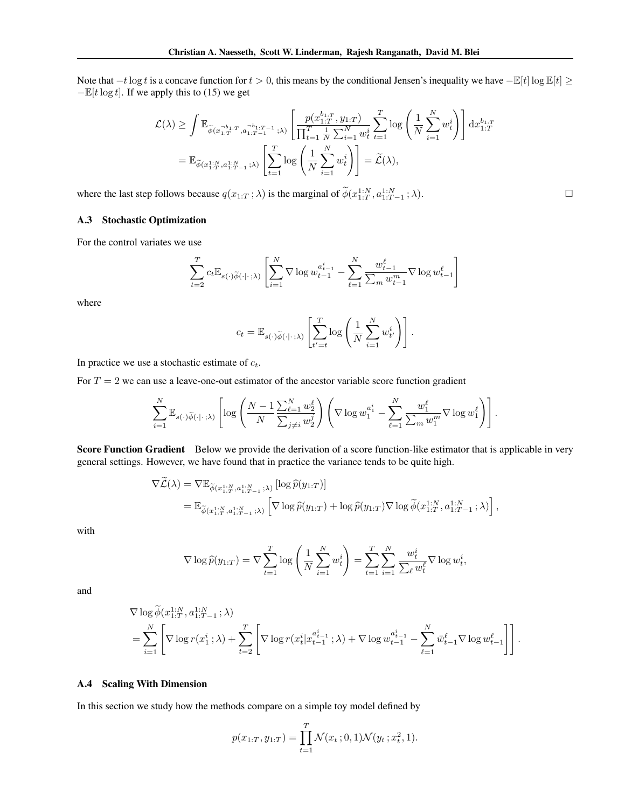Note that  $-t\log t$  is a concave function for  $t > 0$ , this means by the conditional Jensen's inequality we have  $-\mathbb{E}[t] \log \mathbb{E}[t] \ge$  $-\mathbb{E}[t \log t]$ . If we apply this to [\(15\)](#page-0-1) we get

$$
\mathcal{L}(\lambda) \geq \int \mathbb{E}_{\widetilde{\phi}(x_{1:T}^{-b_{1:T}}, a_{1:T-1}^{-b_{1:T-1}}, \lambda)} \left[ \frac{p(x_{1:T}^{b_{1:T}}, y_{1:T})}{\prod_{t=1}^T \frac{1}{N} \sum_{i=1}^N w_t^i} \sum_{t=1}^T \log \left( \frac{1}{N} \sum_{i=1}^N w_t^i \right) \right] dx_{1:T}^{b_{1:T}} \n= \mathbb{E}_{\widetilde{\phi}(x_{1:T}^{1:N}, a_{1:T-1}^{1:N}, \lambda)} \left[ \sum_{t=1}^T \log \left( \frac{1}{N} \sum_{i=1}^N w_t^i \right) \right] = \widetilde{\mathcal{L}}(\lambda),
$$

where the last step follows because  $q(x_{1:T}; \lambda)$  is the marginal of  $\widetilde{\phi}(x_{1:T}^{1:N}, a_{1:T-1}^{1:N}; \lambda)$ .

## A.3 Stochastic Optimization

For the control variates we use

$$
\sum_{t=2}^T c_t \mathbb{E}_{s(\cdot)\widetilde{\phi}(\cdot|\cdot;\lambda)} \left[ \sum_{i=1}^N \nabla \log w_{t-1}^{a_{t-1}^i} - \sum_{\ell=1}^N \frac{w_{t-1}^{\ell}}{\sum_m w_{t-1}^m} \nabla \log w_{t-1}^{\ell} \right]
$$

where

$$
c_t = \mathbb{E}_{s(\cdot)\widetilde{\phi}(\cdot|\cdot;\lambda)} \left[ \sum_{t'=t}^T \log \left( \frac{1}{N} \sum_{i=1}^N w_{t'}^{i} \right) \right].
$$

In practice we use a stochastic estimate of  $c_t$ .

For  $T = 2$  we can use a leave-one-out estimator of the ancestor variable score function gradient

$$
\sum_{i=1}^N \mathbb{E}_{s(\cdot)\widetilde{\phi}(\cdot|\cdot;\lambda)} \left[ \log \left( \frac{N-1}{N} \frac{\sum_{\ell=1}^N w_2^{\ell}}{\sum_{j\neq i} w_2^j} \right) \left( \nabla \log w_1^{a_1^i} - \sum_{\ell=1}^N \frac{w_1^{\ell}}{\sum_m w_1^m} \nabla \log w_1^{\ell} \right) \right].
$$

Score Function Gradient Below we provide the derivation of a score function-like estimator that is applicable in very general settings. However, we have found that in practice the variance tends to be quite high.

$$
\nabla \widetilde{\mathcal{L}}(\lambda) = \nabla \mathbb{E}_{\widetilde{\phi}(x_{1:T}^{1:N}, a_{1:T-1}^{1:N}; \lambda)} [\log \widehat{p}(y_{1:T})]
$$
  
= 
$$
\mathbb{E}_{\widetilde{\phi}(x_{1:T}^{1:N}, a_{1:T-1}^{1:N}; \lambda)} [\nabla \log \widehat{p}(y_{1:T}) + \log \widehat{p}(y_{1:T}) \nabla \log \widetilde{\phi}(x_{1:T}^{1:N}, a_{1:T-1}^{1:N}; \lambda))],
$$

with

$$
\nabla \log \widehat{p}(y_{1:T}) = \nabla \sum_{t=1}^{T} \log \left( \frac{1}{N} \sum_{i=1}^{N} w_t^{i} \right) = \sum_{t=1}^{T} \sum_{i=1}^{N} \frac{w_t^{i}}{\sum_{\ell} w_t^{\ell}} \nabla \log w_t^{i},
$$

and

$$
\nabla \log \widetilde{\phi}(x_{1:T}^{1:N}, a_{1:T-1}^{1:N}; \lambda)
$$
\n
$$
= \sum_{i=1}^{N} \left[ \nabla \log r(x_1^i; \lambda) + \sum_{t=2}^{T} \left[ \nabla \log r(x_t^i | x_{t-1}^{a_{t-1}^i}; \lambda) + \nabla \log w_{t-1}^{a_{t-1}^i} - \sum_{\ell=1}^{N} \bar{w}_{t-1}^{\ell} \nabla \log w_{t-1}^{\ell} \right] \right].
$$

#### A.4 Scaling With Dimension

In this section we study how the methods compare on a simple toy model defined by

$$
p(x_{1:T}, y_{1:T}) = \prod_{t=1}^{T} \mathcal{N}(x_t; 0, 1) \mathcal{N}(y_t; x_t^2, 1).
$$